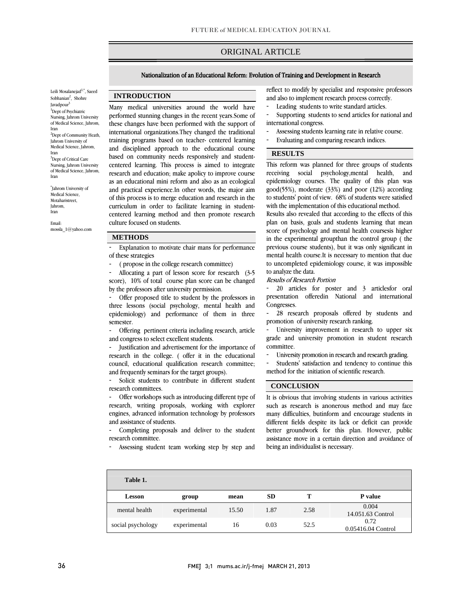# ORIGINAL ARTICLE

i

## Nationalization of an Educational Reform: Evolution of Training and Development in Research

Leili Mosalanejad $^{1,\ast},$  Saeed Sobhanian<sup>2</sup>, Shohre Javadpour<sup>3</sup> 1 Dept of Psychiatric Nursing, Jahrom University of Medical Science, Jahrom, Iran <sup>2</sup>Dept of Community Heath, Jahrom University of Medical Science, Jahrom, Iran <sup>3</sup>Dept of Critical Care Nursing, Jahrom University of Medical Science, Jahrom, Iran

\* Jahrom University of Medical Science, Motaharistreet, Jahrom, Iran

Email: mossla\_1@yahoo.com

## **INTRODUCTION**

 Many medical universities around the world have performed stunning changes in the recent years.Some of international organizations.They changed the traditional training programs based on teacher- centered learning and disciplined approach to the educational course based on community needs responsively and student- centered learning. This process is aimed to integrate as an educational mini reform and also as an ecological and practical experience.In other words, the major aim of this process is to merge education and research in the centered learning method and then promote research these changes have been performed with the support of research and education; make apolicy to improve course curriculum in order to facilitate learning in studentculture focused on students.

## **METHODS**

- Explanation to motivate chair mans for performance of these strategies

 $\overline{a}$ ֦

- ( propose in the college research committee)

 - Allocating a part of lesson score for research (3-5 score), 10% of total course plan score can be changed by the professors after university permission.

 three lessons (social psychology, mental health and epidemiology) and performance of them in three Offer proposed title to student by the professors in semester.

 - Offering pertinent criteria including research, article and congress to select excellent students.

 - Justification and advertisement for the importance of research in the college. ( offer it in the educational council, educational qualification research committee; and frequently seminars for the target groups).

- Solicit students to contribute in different student research committees.

 - Offer workshops such as introducing different type of research, writing proposals, working with explorer engines, advanced information technology by professors and assistance of students.

 - Completing proposals and deliver to the student research committee.

- Assessing student team working step by step and

 reflect to modify by specialist and responsive professors and also to implement research process correctly.

l

 $\overline{a}$  $\overline{a}$ 

- Leading students to write standard articles.
- - Supporting students to send articles for national and international congress.
- mternational congress.<br>- Assessing students learning rate in relative course.
- Evaluating and comparing research indices.

#### **RESULTS**

 This reform was planned for three groups of students epidemiology courses. The quality of this plan was good(55%), moderate (33%) and poor (12%) according to students' point of view. 68% of students were satisfied with the implementation of this educational method. receiving social psychology,mental health, and

 plan on basis, goals and students learning that mean score of psychology and mental health coursesis higher in the experimental groupthan the control group ( the previous course students), but it was only significant in to uncompleted epidemiology course, it was impossible Results also revealed that according to the effects of this mental health course.It is necessary to mention that due to analyze the data.

## Results of Research Portion

 - 20 articles for poster and 3 articlesfor oral presentation offeredin National and international Congresses.

 - 28 research proposals offered by students and promotion of university research ranking.

 - University improvement in research to upper six grade and university promotion in student research committee.

- University promotion in research and research grading.

 - Students' satisfaction and tendency to continue this method for the initiation of scientific research.

ׇ֞֘֡

#### **CONCLUSION**

 It is obvious that involving students in various activities such as research is anonerous method and may face many difficulties, butinform and encourage students in different fields despite its lack or deficit can provide assistance move in a certain direction and avoidance of better groundwork for this plan. However, public being an individualist is necessary.

| Table 1.          |              |       |           |      |                            |
|-------------------|--------------|-------|-----------|------|----------------------------|
| <b>Lesson</b>     | group        | mean  | <b>SD</b> |      | P value                    |
| mental health     | experimental | 15.50 | 1.87      | 2.58 | 0.004<br>14.051.63 Control |
| social psychology | experimental | 16    | 0.03      | 52.5 | 0.72<br>0.05416.04 Control |